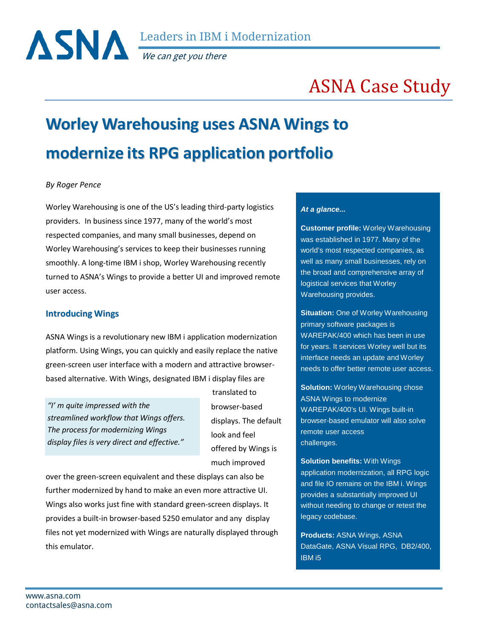We can get you there

# ASNA Case Study

# **Worley Warehousing uses ASNA Wings to modernize its RPG application portfolio**

#### *By Roger Pence*

Worley Warehousing is one of the US's leading third-party logistics providers. In business since 1977, many of the world's most respected companies, and many small businesses, depend on Worley Warehousing's services to keep their businesses running smoothly. A long-time IBM i shop, Worley Warehousing recently turned to ASNA's Wings to provide a better UI and improved remote user access.

#### **Introducing Wings**

ASNA Wings is a revolutionary new IBM i application modernization platform. Using Wings, you can quickly and easily replace the native green-screen user interface with a modern and attractive browserbased alternative. With Wings, designated IBM i display files are

*"I' m quite impressed with the streamlined workflow that Wings offers. The process for modernizing Wings display files is very direct and effective."*

translated to browser-based displays. The default look and feel offered by Wings is much improved

over the green-screen equivalent and these displays can also be further modernized by hand to make an even more attractive UI. Wings also works just fine with standard green-screen displays. It provides a built-in browser-based 5250 emulator and any display files not yet modernized with Wings are naturally displayed through this emulator.

#### *At a glance...*

**Customer profile:** Worley Warehousing was established in 1977. Many of the world's most respected companies, as well as many small businesses, rely on the broad and comprehensive array of logistical services that Worley Warehousing provides.

**Situation:** One of Worley Warehousing primary software packages is WAREPAK/400 which has been in use for years. It services Worley well but its interface needs an update and Worley needs to offer better remote user access.

**Solution:** Worley Warehousing chose ASNA Wings to modernize WAREPAK/400's UI. Wings built-in browser-based emulator will also solve remote user access challenges.

**Solution benefits:** With Wings application modernization, all RPG logic and file IO remains on the IBM i. Wings provides a substantially improved UI without needing to change or retest the legacy codebase.

**Products:** ASNA Wings, ASNA DataGate, ASNA Visual RPG, DB2/400, IBM i5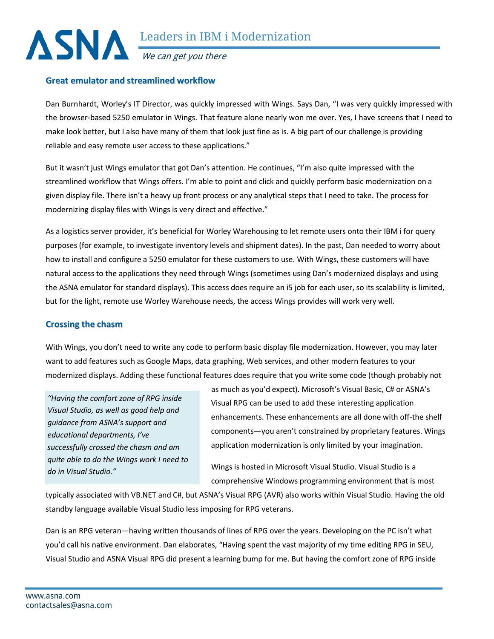

We can get you there

## **Great emulator and streamlined workflow**

Dan Burnhardt, Worley's IT Director, was quickly impressed with Wings. Says Dan, "I was very quickly impressed with the browser-based 5250 emulator in Wings. That feature alone nearly won me over. Yes, I have screens that I need to make look better, but I also have many of them that look just fine as is. A big part of our challenge is providing reliable and easy remote user access to these applications."

But it wasn't just Wings emulator that got Dan's attention. He continues, "I'm also quite impressed with the streamlined workflow that Wings offers. I'm able to point and click and quickly perform basic modernization on a given display file. There isn't a heavy up front process or any analytical steps that I need to take. The process for modernizing display files with Wings is very direct and effective."

As a logistics server provider, it's beneficial for Worley Warehousing to let remote users onto their IBM i for query purposes (for example, to investigate inventory levels and shipment dates). In the past, Dan needed to worry about how to install and configure a 5250 emulator for these customers to use. With Wings, these customers will have natural access to the applications they need through Wings (sometimes using Dan's modernized displays and using the ASNA emulator for standard displays). This access does require an i5 job for each user, so its scalability is limited, but for the light, remote use Worley Warehouse needs, the access Wings provides will work very well.

# **Crossing the chasm**

With Wings, you don't need to write any code to perform basic display file modernization. However, you may later want to add features such as Google Maps, data graphing, Web services, and other modern features to your modernized displays. Adding these functional features does require that you write some code (though probably not

*"Having the comfort zone of RPG inside Visual Studio, as well as good help and guidance from ASNA's support and educational departments, I've successfully crossed the chasm and am quite able to do the Wings work I need to do in Visual Studio."*

as much as you'd expect). Microsoft's Visual Basic, C# or ASNA's Visual RPG can be used to add these interesting application enhancements. These enhancements are all done with off-the shelf components—you aren't constrained by proprietary features. Wings application modernization is only limited by your imagination.

Wings is hosted in Microsoft Visual Studio. Visual Studio is a comprehensive Windows programming environment that is most

typically associated with VB.NET and C#, but ASNA's Visual RPG (AVR) also works within Visual Studio. Having the old standby language available Visual Studio less imposing for RPG veterans.

Dan is an RPG veteran—having written thousands of lines of RPG over the years. Developing on the PC isn't what you'd call his native environment. Dan elaborates, "Having spent the vast majority of my time editing RPG in SEU, Visual Studio and ASNA Visual RPG did present a learning bump for me. But having the comfort zone of RPG inside